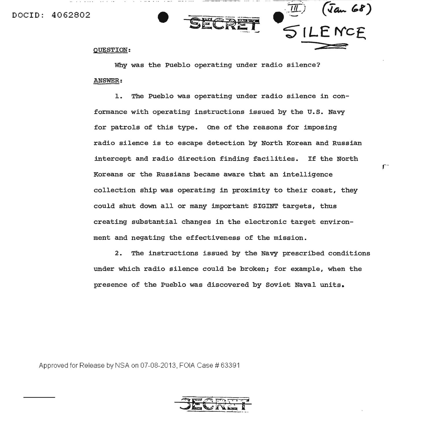DOCID: 4062802



 $f^{\cdots}$ 

## QUESTION:

Why was the Pueblo operating under radio silence? ANSWER:

1. The Pueblo was operating under radio silence in conformance with operating instructions issued by the U.S. Navy for patrols of this type. one of the reasons for imposing radio silence is to escape detection by North Korean and Russian intercept and radio direction finding facilities. If the North Koreans or the Russians became aware that an intelligence collection ship was operating in proximity to their coast, they could shut down all or many important SIGINT targets, thus creating substantial changes in the electronic target environment and negating the effectiveness of the mission.

2. The instructions issued by the Navy prescribed conditions under which radio silence could be broken; for example, when the presence of the Pueblo was discovered by Soviet Naval units.

Approved for Release by NSA on 07-08-2013, FOIA Case # 63391